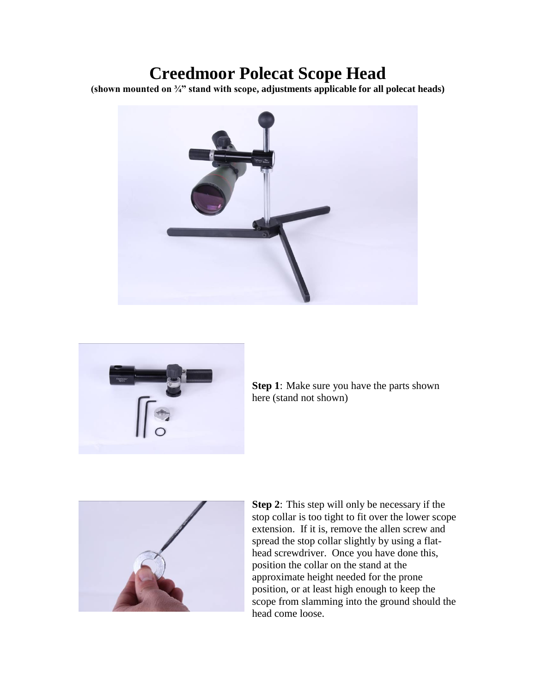## **Creedmoor Polecat Scope Head**

**(shown mounted on ¾" stand with scope, adjustments applicable for all polecat heads)**





**Step 1**: Make sure you have the parts shown here (stand not shown)



**Step 2**: This step will only be necessary if the stop collar is too tight to fit over the lower scope extension. If it is, remove the allen screw and spread the stop collar slightly by using a flathead screwdriver. Once you have done this, position the collar on the stand at the approximate height needed for the prone position, or at least high enough to keep the scope from slamming into the ground should the head come loose.